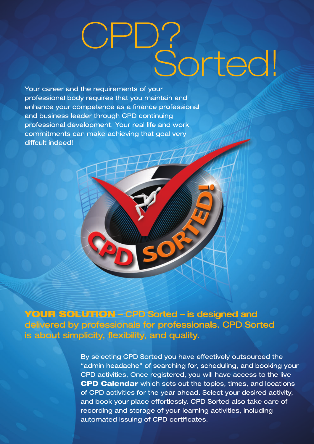## Pu<sup>s</sup>sorted!

Your career and the requirements of your professional body requires that you maintain and enhance your competence as a finance professional and business leader through CPD continuing professional development. Your real life and work commitments can make achieving that goal very diffcult indeed!

**YOUR SOLUTION - CPD Sorted - is designed and** delivered by professionals for professionals. CPD Sorted is about simplicity, flexibility, and quality.

> By selecting CPD Sorted you have effectively outsourced the "admin headache" of searching for, scheduling, and booking your CPD activities, Once registered, you will have access to the live **CPD Calendar** which sets out the topics, times, and locations of CPD activities for the year ahead. Select your desired activity, and book your place effortlessly. CPD Sorted also take care of recording and storage of your learning activities, including automated issuing of CPD certificates.